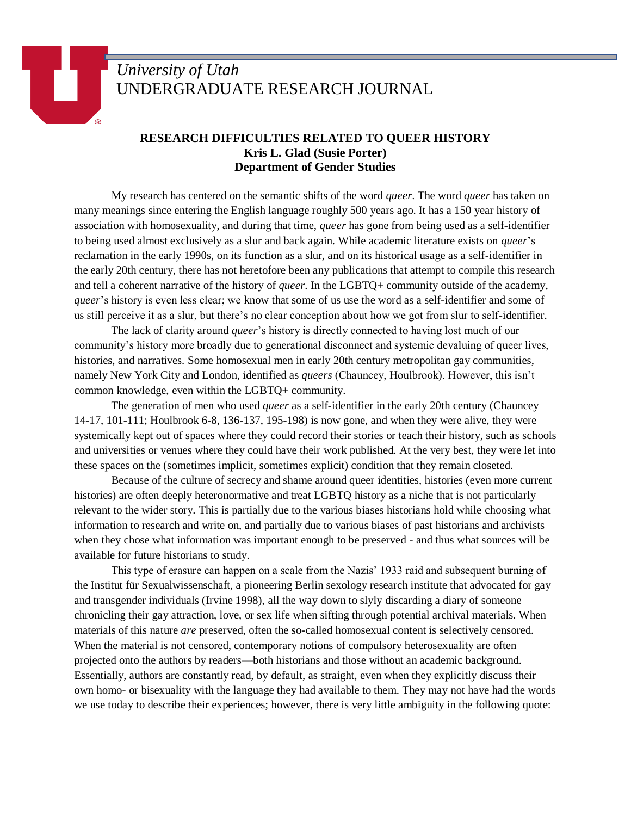## *University of Utah* UNDERGRADUATE RESEARCH JOURNAL

## **RESEARCH DIFFICULTIES RELATED TO QUEER HISTORY Kris L. Glad (Susie Porter) Department of Gender Studies**

My research has centered on the semantic shifts of the word *queer*. The word *queer* has taken on many meanings since entering the English language roughly 500 years ago. It has a 150 year history of association with homosexuality, and during that time, *queer* has gone from being used as a self-identifier to being used almost exclusively as a slur and back again. While academic literature exists on *queer*'s reclamation in the early 1990s, on its function as a slur, and on its historical usage as a self-identifier in the early 20th century, there has not heretofore been any publications that attempt to compile this research and tell a coherent narrative of the history of *queer*. In the LGBTQ+ community outside of the academy, *queer*'s history is even less clear; we know that some of us use the word as a self-identifier and some of us still perceive it as a slur, but there's no clear conception about how we got from slur to self-identifier.

The lack of clarity around *queer*'s history is directly connected to having lost much of our community's history more broadly due to generational disconnect and systemic devaluing of queer lives, histories, and narratives. Some homosexual men in early 20th century metropolitan gay communities, namely New York City and London, identified as *queers* (Chauncey, Houlbrook). However, this isn't common knowledge, even within the LGBTQ+ community.

The generation of men who used *queer* as a self-identifier in the early 20th century (Chauncey 14-17, 101-111; Houlbrook 6-8, 136-137, 195-198) is now gone, and when they were alive, they were systemically kept out of spaces where they could record their stories or teach their history, such as schools and universities or venues where they could have their work published. At the very best, they were let into these spaces on the (sometimes implicit, sometimes explicit) condition that they remain closeted.

Because of the culture of secrecy and shame around queer identities, histories (even more current histories) are often deeply heteronormative and treat LGBTQ history as a niche that is not particularly relevant to the wider story. This is partially due to the various biases historians hold while choosing what information to research and write on, and partially due to various biases of past historians and archivists when they chose what information was important enough to be preserved - and thus what sources will be available for future historians to study.

This type of erasure can happen on a scale from the Nazis' 1933 raid and subsequent burning of the Institut für Sexualwissenschaft, a pioneering Berlin sexology research institute that advocated for gay and transgender individuals (Irvine 1998), all the way down to slyly discarding a diary of someone chronicling their gay attraction, love, or sex life when sifting through potential archival materials. When materials of this nature *are* preserved, often the so-called homosexual content is selectively censored. When the material is not censored, contemporary notions of compulsory heterosexuality are often projected onto the authors by readers—both historians and those without an academic background. Essentially, authors are constantly read, by default, as straight, even when they explicitly discuss their own homo- or bisexuality with the language they had available to them. They may not have had the words we use today to describe their experiences; however, there is very little ambiguity in the following quote: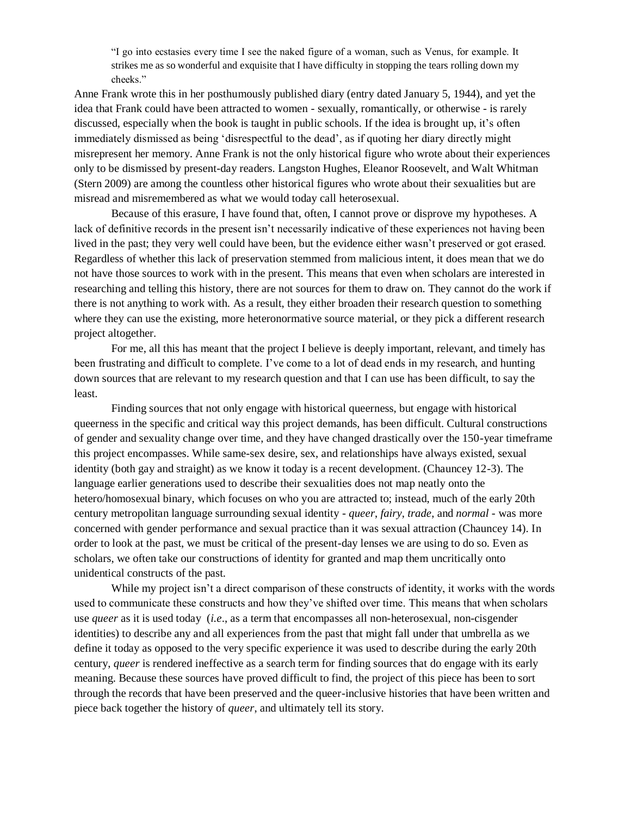"I go into ecstasies every time I see the naked figure of a woman, such as Venus, for example. It strikes me as so wonderful and exquisite that I have difficulty in stopping the tears rolling down my cheeks."

Anne Frank wrote this in her posthumously published diary (entry dated January 5, 1944), and yet the idea that Frank could have been attracted to women - sexually, romantically, or otherwise - is rarely discussed, especially when the book is taught in public schools. If the idea is brought up, it's often immediately dismissed as being 'disrespectful to the dead', as if quoting her diary directly might misrepresent her memory. Anne Frank is not the only historical figure who wrote about their experiences only to be dismissed by present-day readers. Langston Hughes, Eleanor Roosevelt, and Walt Whitman (Stern 2009) are among the countless other historical figures who wrote about their sexualities but are misread and misremembered as what we would today call heterosexual.

Because of this erasure, I have found that, often, I cannot prove or disprove my hypotheses. A lack of definitive records in the present isn't necessarily indicative of these experiences not having been lived in the past; they very well could have been, but the evidence either wasn't preserved or got erased. Regardless of whether this lack of preservation stemmed from malicious intent, it does mean that we do not have those sources to work with in the present. This means that even when scholars are interested in researching and telling this history, there are not sources for them to draw on. They cannot do the work if there is not anything to work with. As a result, they either broaden their research question to something where they can use the existing, more heteronormative source material, or they pick a different research project altogether.

For me, all this has meant that the project I believe is deeply important, relevant, and timely has been frustrating and difficult to complete. I've come to a lot of dead ends in my research, and hunting down sources that are relevant to my research question and that I can use has been difficult, to say the least.

Finding sources that not only engage with historical queerness, but engage with historical queerness in the specific and critical way this project demands, has been difficult. Cultural constructions of gender and sexuality change over time, and they have changed drastically over the 150-year timeframe this project encompasses. While same-sex desire, sex, and relationships have always existed, sexual identity (both gay and straight) as we know it today is a recent development. (Chauncey 12-3). The language earlier generations used to describe their sexualities does not map neatly onto the hetero/homosexual binary, which focuses on who you are attracted to; instead, much of the early 20th century metropolitan language surrounding sexual identity - *queer*, *fairy*, *trade*, and *normal* - was more concerned with gender performance and sexual practice than it was sexual attraction (Chauncey 14). In order to look at the past, we must be critical of the present-day lenses we are using to do so. Even as scholars, we often take our constructions of identity for granted and map them uncritically onto unidentical constructs of the past.

While my project isn't a direct comparison of these constructs of identity, it works with the words used to communicate these constructs and how they've shifted over time. This means that when scholars use *queer* as it is used today (*i.e*., as a term that encompasses all non-heterosexual, non-cisgender identities) to describe any and all experiences from the past that might fall under that umbrella as we define it today as opposed to the very specific experience it was used to describe during the early 20th century, *queer* is rendered ineffective as a search term for finding sources that do engage with its early meaning. Because these sources have proved difficult to find, the project of this piece has been to sort through the records that have been preserved and the queer-inclusive histories that have been written and piece back together the history of *queer*, and ultimately tell its story.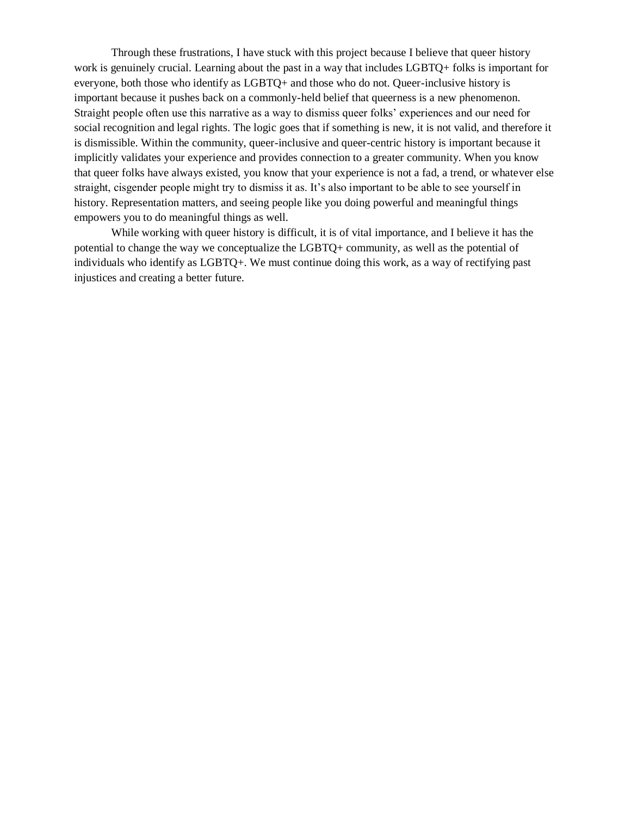Through these frustrations, I have stuck with this project because I believe that queer history work is genuinely crucial. Learning about the past in a way that includes LGBTQ+ folks is important for everyone, both those who identify as LGBTQ+ and those who do not. Queer-inclusive history is important because it pushes back on a commonly-held belief that queerness is a new phenomenon. Straight people often use this narrative as a way to dismiss queer folks' experiences and our need for social recognition and legal rights. The logic goes that if something is new, it is not valid, and therefore it is dismissible. Within the community, queer-inclusive and queer-centric history is important because it implicitly validates your experience and provides connection to a greater community. When you know that queer folks have always existed, you know that your experience is not a fad, a trend, or whatever else straight, cisgender people might try to dismiss it as. It's also important to be able to see yourself in history. Representation matters, and seeing people like you doing powerful and meaningful things empowers you to do meaningful things as well.

While working with queer history is difficult, it is of vital importance, and I believe it has the potential to change the way we conceptualize the LGBTQ+ community, as well as the potential of individuals who identify as LGBTQ+. We must continue doing this work, as a way of rectifying past injustices and creating a better future.